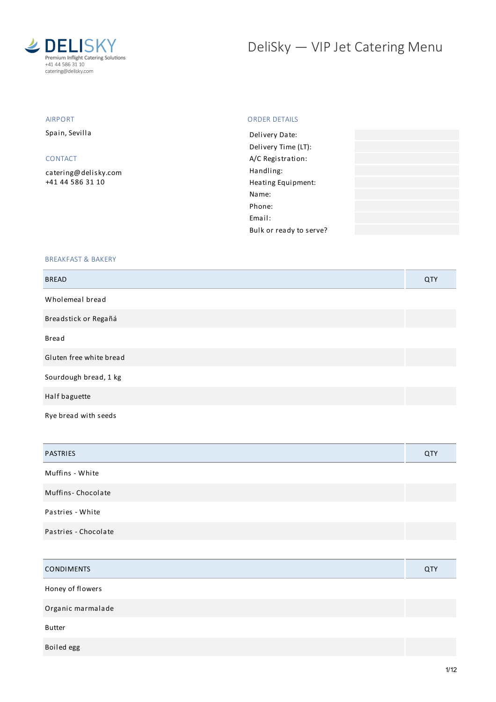

# DeliSky - VIP Jet Catering Menu

#### AIRPORT

Spain, Sevilla

#### CONTACT

[catering@delisky.com](mailto:catering@delisky.com) +41 44 586 31 10

#### ORDER DETAILS

| Delivery Date:          |  |
|-------------------------|--|
| Delivery Time (LT):     |  |
| A/C Registration:       |  |
| Handling:               |  |
| Heating Equipment:      |  |
| Name:                   |  |
| Phone:                  |  |
| Fmail:                  |  |
| Bulk or ready to serve? |  |
|                         |  |

#### BREAKFAST & BAKERY

| <b>BREAD</b>            | QTY |
|-------------------------|-----|
| Wholemeal bread         |     |
| Breadstick or Regañá    |     |
| <b>Bread</b>            |     |
| Gluten free white bread |     |
| Sourdough bread, 1 kg   |     |
| Half baguette           |     |
| Rye bread with seeds    |     |

| <b>PASTRIES</b>      | <b>QTY</b> |
|----------------------|------------|
| Muffins - White      |            |
| Muffins-Chocolate    |            |
| Pastries - White     |            |
| Pastries - Chocolate |            |

| <b>CONDIMENTS</b> | QTY |
|-------------------|-----|
| Honey of flowers  |     |
| Organic marmalade |     |
| <b>Butter</b>     |     |
| Boiled egg        |     |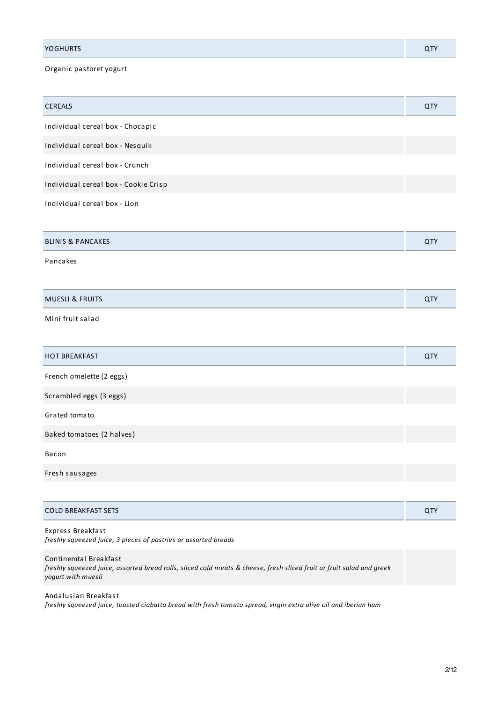| <b>YOGHURTS</b> |  |
|-----------------|--|
|                 |  |

# Organic pastoret yogurt

| CEREALS                              | <b>QTY</b> |
|--------------------------------------|------------|
| Individual cereal box - Chocapic     |            |
| Individual cereal box - Nesquik      |            |
| Individual cereal box - Crunch       |            |
| Individual cereal box - Cookie Crisp |            |
| Individual cereal box - Lion         |            |
|                                      |            |
| <b>BLINIS &amp; PANCAKES</b>         | QTY        |
| Pancakes                             |            |
|                                      |            |
| <b>MUESLI &amp; FRUITS</b>           | QTY        |
| Mini fruit salad                     |            |
|                                      |            |
| <b>HOT BREAKFAST</b>                 | QTY        |
| French omelette (2 eggs)             |            |
| Scrambled eggs (3 eggs)              |            |
| Grated tomato                        |            |
| Baked tomatoes (2 halves)            |            |
| Bacon                                |            |
| Fresh sausages                       |            |
|                                      |            |
| <b>COLD BREAKFAST SETS</b>           | QTY        |

| Express Breakfast                                               |  |
|-----------------------------------------------------------------|--|
| freshly squeezed juice, 3 pieces of pastries or assorted breads |  |

Continemtal Breakfast freshly squeezed juice, assorted bread rolls, sliced cold meats & cheese, fresh sliced fruit or fruit salad and greek *yogurt with muesli*

Andalusian Breakfast freshly squeezed juice, toasted ciabatta bread with fresh tomato spread, virgin extra olive oil and iberian ham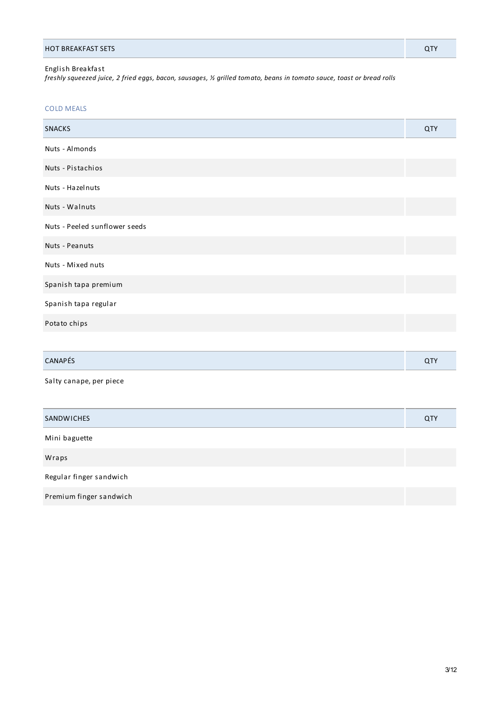## English Breakfast

freshly squeezed juice, 2 fried eggs, bacon, sausages, ½ grilled tomato, beans in tomato sauce, toast or bread rolls

## COLD MEALS

| <b>SNACKS</b>                 | QTY |
|-------------------------------|-----|
| Nuts - Almonds                |     |
| Nuts - Pistachios             |     |
| Nuts - Hazelnuts              |     |
| Nuts - Walnuts                |     |
| Nuts - Peeled sunflower seeds |     |
| Nuts - Peanuts                |     |
| Nuts - Mixed nuts             |     |
| Spanish tapa premium          |     |
| Spanish tapa regular          |     |
| Potato chips                  |     |
|                               |     |
| CANAPÉS                       | QTY |
| Salty canape, per piece       |     |
|                               |     |
| SANDWICHES                    | QTY |
| Mini baguette                 |     |
| Wraps                         |     |
| Regular finger sandwich       |     |
| Premium finger sandwich       |     |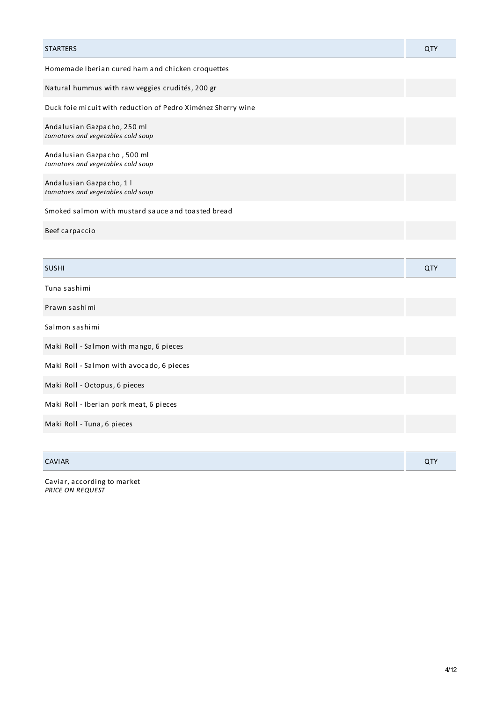| <b>STARTERS</b>                                                  | QTY        |
|------------------------------------------------------------------|------------|
| Homemade Iberian cured ham and chicken croquettes                |            |
| Natural hummus with raw veggies crudités, 200 gr                 |            |
| Duck foie micuit with reduction of Pedro Ximénez Sherry wine     |            |
| Andalusian Gazpacho, 250 ml<br>tomatoes and vegetables cold soup |            |
| Andalusian Gazpacho, 500 ml<br>tomatoes and vegetables cold soup |            |
| Andalusian Gazpacho, 1 l<br>tomatoes and vegetables cold soup    |            |
| Smoked salmon with mustard sauce and toasted bread               |            |
| Beef carpaccio                                                   |            |
|                                                                  |            |
| <b>SUSHI</b>                                                     | <b>QTY</b> |
| Tuna sashimi                                                     |            |
| Prawn sashimi                                                    |            |
| Salmon sashimi                                                   |            |
| Maki Roll - Salmon with mango, 6 pieces                          |            |
| Maki Roll - Salmon with avocado, 6 pieces                        |            |
| Maki Roll - Octopus, 6 pieces                                    |            |
| Maki Roll - Iberian pork meat, 6 pieces                          |            |
| Maki Roll - Tuna, 6 pieces                                       |            |
|                                                                  |            |
| <b>CAVIAR</b>                                                    | QTY        |

Caviar, according to market *PRICE ON REQUEST*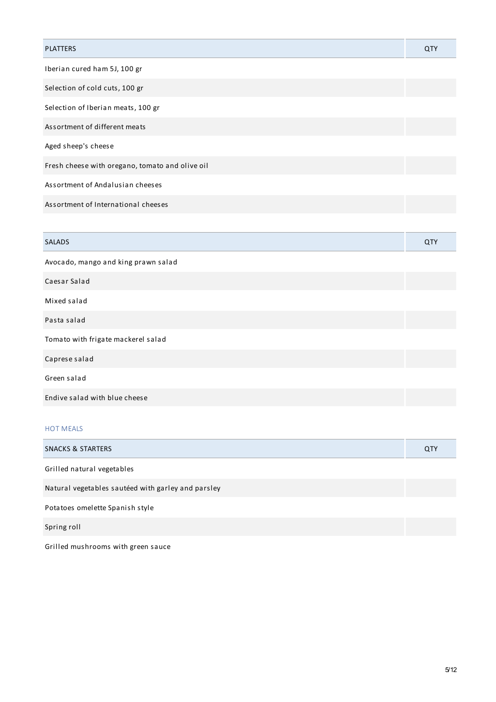| <b>PLATTERS</b>                                 | QTY |
|-------------------------------------------------|-----|
| Iberian cured ham 5J, 100 gr                    |     |
| Selection of cold cuts, 100 gr                  |     |
| Selection of Iberian meats, 100 gr              |     |
| Assortment of different meats                   |     |
| Aged sheep's cheese                             |     |
| Fresh cheese with oregano, tomato and olive oil |     |
| Assortment of Andalusian cheeses                |     |
| Assortment of International cheeses             |     |
|                                                 |     |
| <b>SALADS</b>                                   | QTY |
| Avocado, mango and king prawn salad             |     |
| Caesar Salad                                    |     |
| Mixed salad                                     |     |
| Pasta salad                                     |     |
| Tomato with frigate mackerel salad              |     |
| Caprese salad                                   |     |
| Green salad                                     |     |

Endive salad with blue cheese

# HOT MEALS

| SNACKS & STARTERS                                  | <b>QTY</b> |
|----------------------------------------------------|------------|
| Grilled natural vegetables                         |            |
| Natural vegetables sautéed with garley and parsley |            |
| Potatoes omelette Spanish style                    |            |
| Spring roll                                        |            |

Grilled mushrooms with green sauce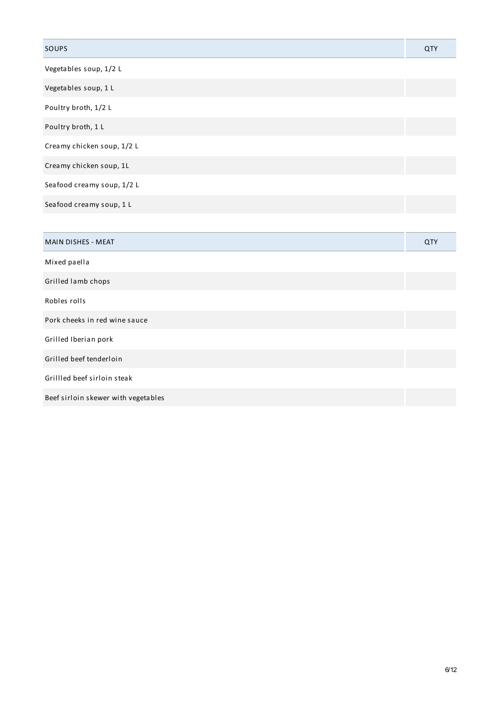| SOUPS                               | <b>QTY</b> |
|-------------------------------------|------------|
| Vegetables soup, 1/2 L              |            |
| Vegetables soup, 1 L                |            |
| Poultry broth, 1/2 L                |            |
| Poultry broth, 1 L                  |            |
| Creamy chicken soup, 1/2 L          |            |
| Creamy chicken soup, 1L             |            |
| Seafood creamy soup, 1/2 L          |            |
| Seafood creamy soup, 1 L            |            |
|                                     |            |
| MAIN DISHES - MEAT                  | QTY        |
| Mixed paella                        |            |
| Grilled lamb chops                  |            |
| Robles rolls                        |            |
| Pork cheeks in red wine sauce       |            |
| Grilled Iberian pork                |            |
| Grilled beef tenderloin             |            |
| Grillled beef sirloin steak         |            |
| Beef sirloin skewer with vegetables |            |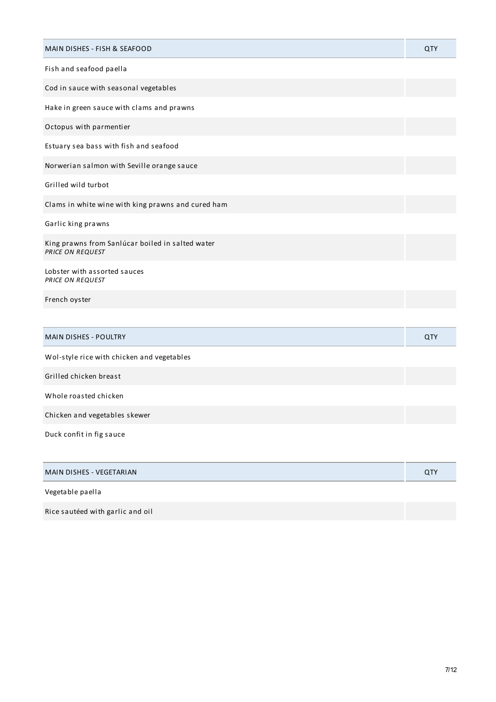| MAIN DISHES - FISH & SEAFOOD                                         | QTY        |
|----------------------------------------------------------------------|------------|
| Fish and seafood paella                                              |            |
| Cod in sauce with seasonal vegetables                                |            |
| Hake in green sauce with clams and prawns                            |            |
| Octopus with parmentier                                              |            |
| Estuary sea bass with fish and seafood                               |            |
| Norwerian salmon with Seville orange sauce                           |            |
| Grilled wild turbot                                                  |            |
| Clams in white wine with king prawns and cured ham                   |            |
| Garlic king prawns                                                   |            |
| King prawns from Sanlúcar boiled in salted water<br>PRICE ON REQUEST |            |
| Lobster with assorted sauces<br>PRICE ON REQUEST                     |            |
| French oyster                                                        |            |
|                                                                      |            |
| <b>MAIN DISHES - POULTRY</b>                                         | <b>QTY</b> |
| Wol-style rice with chicken and vegetables                           |            |
| Grilled chicken breast                                               |            |
| Whole roasted chicken                                                |            |
| Chicken and vegetables skewer                                        |            |
| Duck confit in fig sauce                                             |            |
| MAIN DISHES - VEGETARIAN                                             | QTY        |
| Vegetable paella                                                     |            |

Rice sautéed with garlic and oil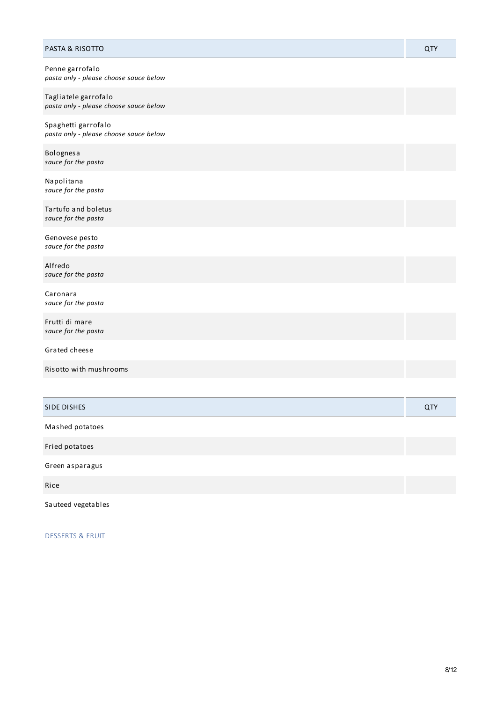| PASTA & RISOTTO                                                | QTY |
|----------------------------------------------------------------|-----|
| Penne garrofalo<br>pasta only - please choose sauce below      |     |
| Tagliatele garrofalo<br>pasta only - please choose sauce below |     |
| Spaghetti garrofalo<br>pasta only - please choose sauce below  |     |
| Bolognesa<br>sauce for the pasta                               |     |
| Napolitana<br>sauce for the pasta                              |     |
| Tartufo and boletus<br>sauce for the pasta                     |     |
| Genovese pesto<br>sauce for the pasta                          |     |
| Alfredo<br>sauce for the pasta                                 |     |
| Caronara<br>sauce for the pasta                                |     |
| Frutti di mare<br>sauce for the pasta                          |     |
| Grated cheese                                                  |     |
| Risotto with mushrooms                                         |     |
|                                                                |     |
| SIDE DISHES                                                    | QTY |
| Mashed potatoes                                                |     |
| Fried potatoes                                                 |     |
| Green asparagus                                                |     |

Rice

Sauteed vegetables

DESSERTS & FRUIT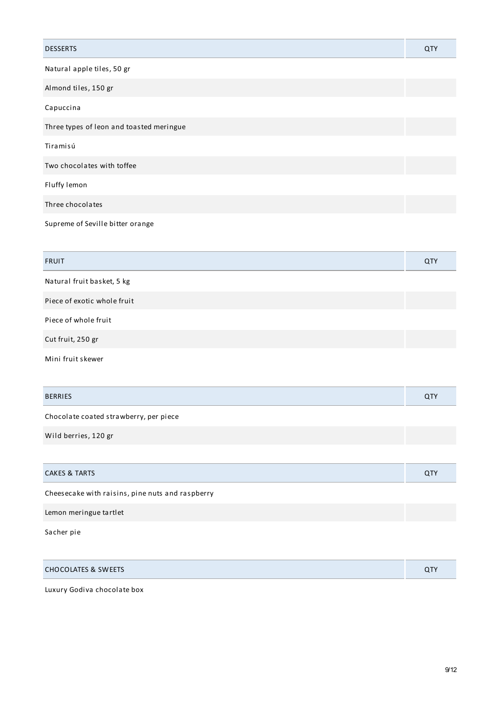| <b>DESSERTS</b>                          | QTY |
|------------------------------------------|-----|
| Natural apple tiles, 50 gr               |     |
| Almond tiles, 150 gr                     |     |
| Capuccina                                |     |
| Three types of leon and toasted meringue |     |
| Tiramisú                                 |     |
| Two chocolates with toffee               |     |
| Fluffy lemon                             |     |
| Three chocolates                         |     |
| Supreme of Seville bitter orange         |     |

| <b>FRUIT</b>                | QTY |
|-----------------------------|-----|
| Natural fruit basket, 5 kg  |     |
| Piece of exotic whole fruit |     |
| Piece of whole fruit        |     |
| Cut fruit, 250 gr           |     |
| Mini fruit skewer           |     |

| <b>BERRIES</b>                         | QTY |
|----------------------------------------|-----|
| Chocolate coated strawberry, per piece |     |
| Wild berries, 120 gr                   |     |
|                                        |     |
| <b>CAKES &amp; TARTS</b>               | QTY |

Cheesecake with raisins, pine nuts and raspberry Lemon meringue tartlet

Sacher pie

| <b>CHOCOLATES &amp; SWEETS</b> | <b>QTY</b> |
|--------------------------------|------------|
|                                |            |

Luxury Godiva chocolate box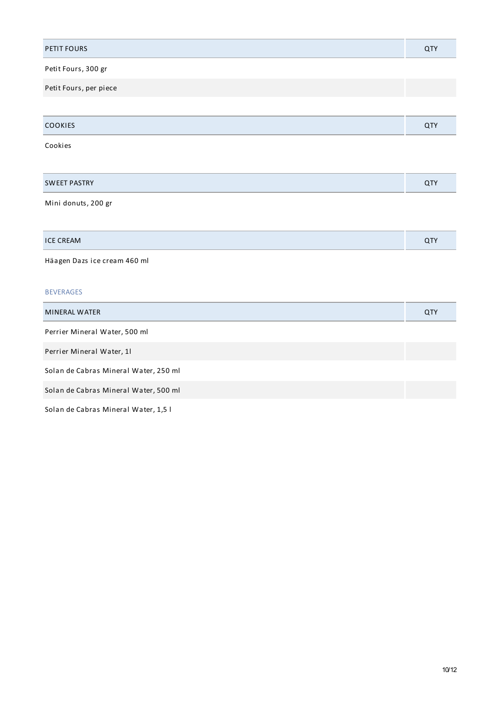| PETIT FOURS                           | <b>QTY</b> |
|---------------------------------------|------------|
| Petit Fours, 300 gr                   |            |
| Petit Fours, per piece                |            |
|                                       |            |
| COOKIES                               | QTY        |
| Cookies                               |            |
|                                       |            |
| <b>SWEET PASTRY</b>                   | QTY        |
| Mini donuts, 200 gr                   |            |
|                                       |            |
| <b>ICE CREAM</b>                      | QTY        |
| Häagen Dazs ice cream 460 ml          |            |
| <b>BEVERAGES</b>                      |            |
| MINERAL WATER                         | QTY        |
| Perrier Mineral Water, 500 ml         |            |
| Perrier Mineral Water, 11             |            |
| Solan de Cabras Mineral Water, 250 ml |            |
| Solan de Cabras Mineral Water, 500 ml |            |
| Solan de Cabras Mineral Water, 1,5 l  |            |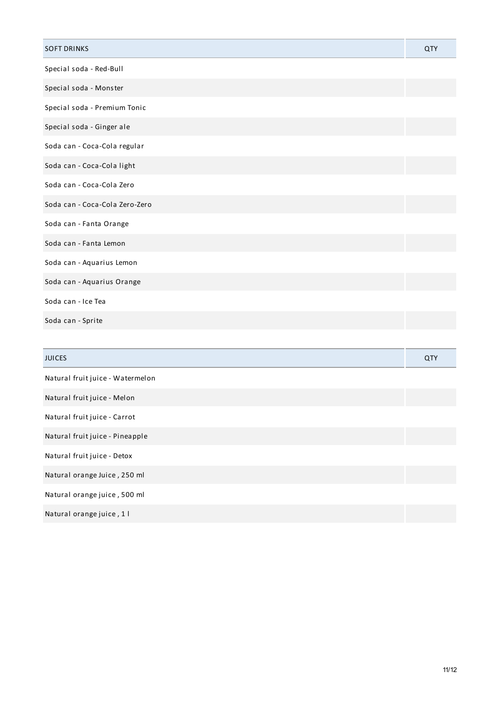| <b>SOFT DRINKS</b>               | <b>QTY</b> |
|----------------------------------|------------|
| Special soda - Red-Bull          |            |
| Special soda - Monster           |            |
| Special soda - Premium Tonic     |            |
| Special soda - Ginger ale        |            |
| Soda can - Coca-Cola regular     |            |
| Soda can - Coca-Cola light       |            |
| Soda can - Coca-Cola Zero        |            |
| Soda can - Coca-Cola Zero-Zero   |            |
| Soda can - Fanta Orange          |            |
| Soda can - Fanta Lemon           |            |
| Soda can - Aquarius Lemon        |            |
| Soda can - Aquarius Orange       |            |
| Soda can - Ice Tea               |            |
| Soda can - Sprite                |            |
|                                  |            |
| <b>JUICES</b>                    | <b>QTY</b> |
| Natural fruit juice - Watermelon |            |
| Natural fruit juice - Melon      |            |
| Natural fruit juice - Carrot     |            |
| Natural fruit juice - Pineapple  |            |

Natural fruit juice - Detox

Natural orange Juice , 250 ml

Natural orange juice , 500 ml

Natural orange juice , 1 l